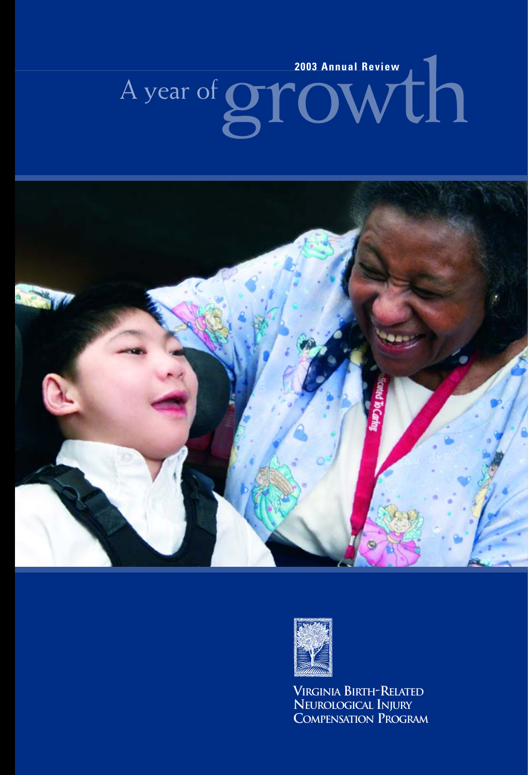# A year of **growth**





**VIRGINIA BIRTH-RELATED NEUROLOGICAL INJURY COMPENSATION PROGRAM**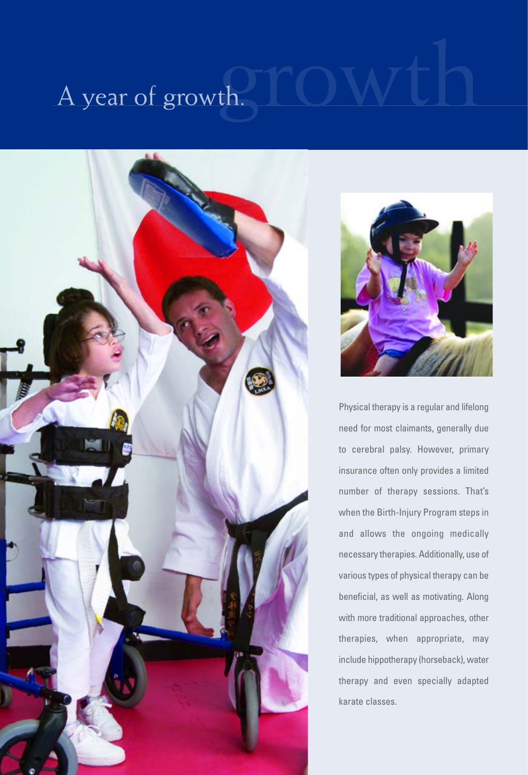## A year of growth.





Physical therapy is a regular and lifelong need for most claimants, generally due to cerebral palsy. However, primary insurance often only provides a limited number of therapy sessions. That's when the Birth-Injury Program steps in and allows the ongoing medically necessary therapies. Additionally, use of various types of physical therapy can be beneficial, as well as motivating. Along with more traditional approaches, other therapies, when appropriate, may include hippotherapy (horseback), water therapy and even specially adapted karate classes.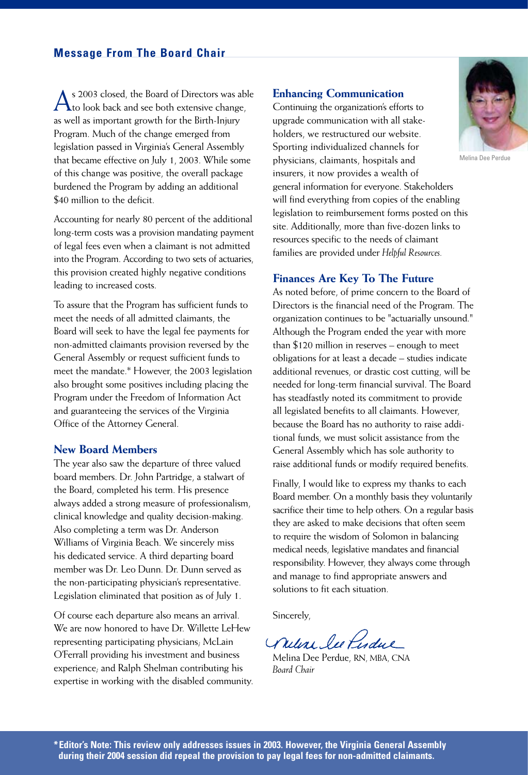$\bigwedge$ s 2003 closed, the Board of Directors was able<br>to look back and see both extensive change, as well as important growth for the Birth-Injury Program. Much of the change emerged from legislation passed in Virginia's General Assembly that became effective on July 1, 2003. While some of this change was positive, the overall package burdened the Program by adding an additional \$40 million to the deficit.

Accounting for nearly 80 percent of the additional long-term costs was a provision mandating payment of legal fees even when a claimant is not admitted into the Program. According to two sets of actuaries, this provision created highly negative conditions leading to increased costs.

To assure that the Program has sufficient funds to meet the needs of all admitted claimants, the Board will seek to have the legal fee payments for non-admitted claimants provision reversed by the General Assembly or request sufficient funds to meet the mandate.\* However, the 2003 legislation also brought some positives including placing the Program under the Freedom of Information Act and guaranteeing the services of the Virginia Office of the Attorney General.

### **New Board Members**

The year also saw the departure of three valued board members. Dr. John Partridge, a stalwart of the Board, completed his term. His presence always added a strong measure of professionalism, clinical knowledge and quality decision-making. Also completing a term was Dr. Anderson Williams of Virginia Beach. We sincerely miss his dedicated service. A third departing board member was Dr. Leo Dunn. Dr. Dunn served as the non-participating physician's representative. Legislation eliminated that position as of July 1.

Of course each departure also means an arrival. We are now honored to have Dr. Willette LeHew representing participating physicians; McLain O'Ferrall providing his investment and business experience; and Ralph Shelman contributing his expertise in working with the disabled community.

### **Enhancing Communication**

Continuing the organization's efforts to upgrade communication with all stakeholders, we restructured our website. Sporting individualized channels for physicians, claimants, hospitals and insurers, it now provides a wealth of general information for everyone. Stakeholders will find everything from copies of the enabling legislation to reimbursement forms posted on this site. Additionally, more than five-dozen links to resources specific to the needs of claimant families are provided under *Helpful Resources.*

### **Finances Are Key To The Future**

As noted before, of prime concern to the Board of Directors is the financial need of the Program. The organization continues to be "actuarially unsound." Although the Program ended the year with more than \$120 million in reserves – enough to meet obligations for at least a decade – studies indicate additional revenues, or drastic cost cutting, will be needed for long-term financial survival. The Board has steadfastly noted its commitment to provide all legislated benefits to all claimants. However, because the Board has no authority to raise additional funds, we must solicit assistance from the General Assembly which has sole authority to raise additional funds or modify required benefits.

Finally, I would like to express my thanks to each Board member. On a monthly basis they voluntarily sacrifice their time to help others. On a regular basis they are asked to make decisions that often seem to require the wisdom of Solomon in balancing medical needs, legislative mandates and financial responsibility. However, they always come through and manage to find appropriate answers and solutions to fit each situation.

Sincerely,

William les Perdue

Melina Dee Perdue, RN, MBA, CNA *Board Chair*



Melina Dee Perdue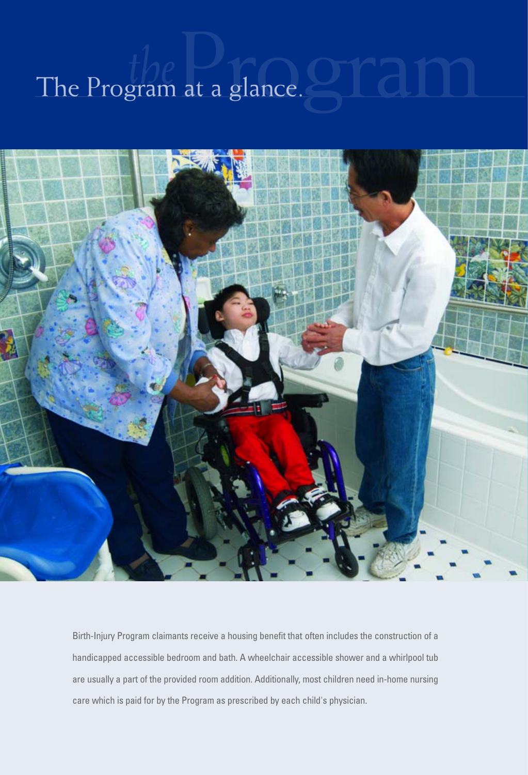### The Program at a glance.



Birth-Injury Program claimants receive a housing benefit that often includes the construction of a handicapped accessible bedroom and bath. A wheelchair accessible shower and a whirlpool tub are usually a part of the provided room addition. Additionally, most children need in-home nursing care which is paid for by the Program as prescribed by each child's physician.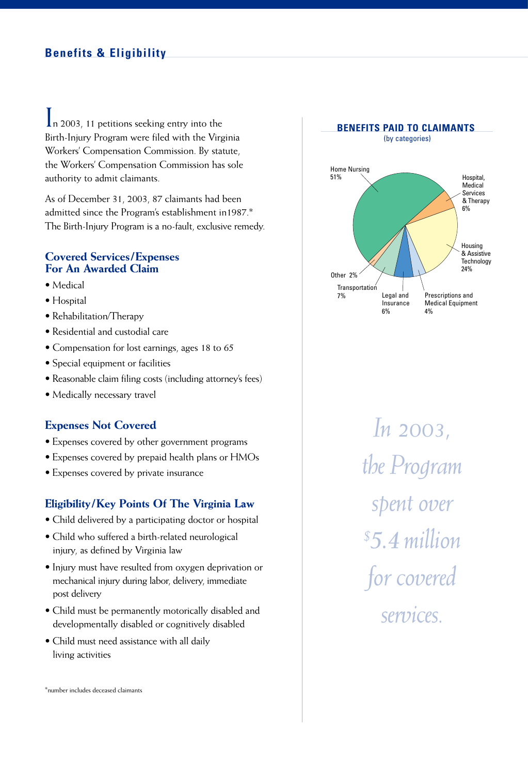In 2003, 11 petitions seeking entry into the Birth-Injury Program were filed with the Virginia Workers' Compensation Commission. By statute, the Workers' Compensation Commission has sole authority to admit claimants.

As of December 31, 2003, 87 claimants had been admitted since the Program's establishment in1987.\* The Birth-Injury Program is a no-fault, exclusive remedy.

### **Covered Services/Expenses For An Awarded Claim**

- Medical
- Hospital
- Rehabilitation/Therapy
- Residential and custodial care
- Compensation for lost earnings, ages 18 to 65
- Special equipment or facilities
- Reasonable claim filing costs (including attorney's fees)
- Medically necessary travel

### **Expenses Not Covered**

- Expenses covered by other government programs
- Expenses covered by prepaid health plans or HMOs
- Expenses covered by private insurance

### **Eligibility/Key Points Of The Virginia Law**

- Child delivered by a participating doctor or hospital
- Child who suffered a birth-related neurological injury, as defined by Virginia law
- Injury must have resulted from oxygen deprivation or mechanical injury during labor, delivery, immediate post delivery
- Child must be permanently motorically disabled and developmentally disabled or cognitively disabled
- Child must need assistance with all daily living activities

\*number includes deceased claimants



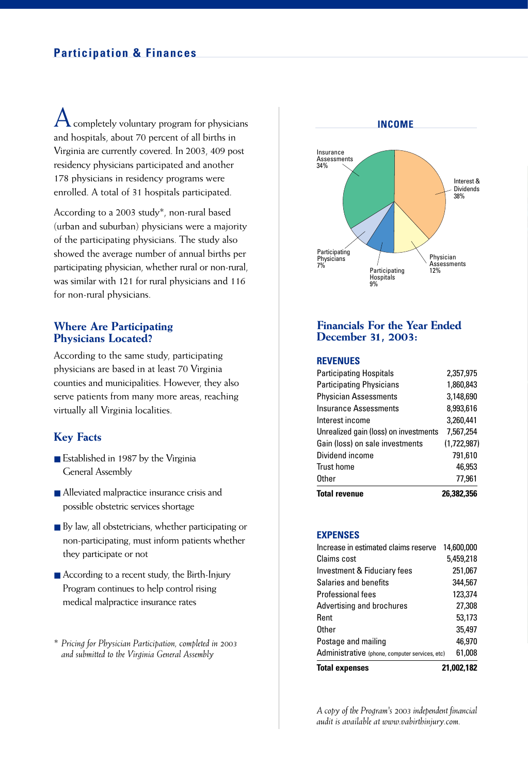### **Participation & Finances**

completely voluntary program for physicians and hospitals, about 70 percent of all births in Virginia are currently covered. In 2003, 409 post residency physicians participated and another 178 physicians in residency programs were enrolled. A total of 31 hospitals participated.

According to a 2003 study\*, non-rural based (urban and suburban) physicians were a majority of the participating physicians. The study also showed the average number of annual births per participating physician, whether rural or non-rural, was similar with 121 for rural physicians and 116 for non-rural physicians.

### **Where Are Participating Physicians Located?**

According to the same study, participating physicians are based in at least 70 Virginia counties and municipalities. However, they also serve patients from many more areas, reaching virtually all Virginia localities.

### **Key Facts**

- Established in 1987 by the Virginia General Assembly
- Alleviated malpractice insurance crisis and possible obstetric services shortage
- By law, all obstetricians, whether participating or non-participating, must inform patients whether they participate or not
- According to a recent study, the Birth-Injury Program continues to help control rising medical malpractice insurance rates
- *\* Pricing for Physician Participation, completed in 2003 and submitted to the Virginia General Assembly*



### **Financials For the Year Ended December 31, 2003:**

### **REVENUES**

| <b>Total revenue</b>                  | 26.382.356  |
|---------------------------------------|-------------|
| Other                                 | 77,961      |
| <b>Trust home</b>                     | 46.953      |
| Dividend income                       | 791,610     |
| Gain (loss) on sale investments       | (1.722.987) |
| Unrealized gain (loss) on investments | 7,567,254   |
| Interest income                       | 3,260,441   |
| <b>Insurance Assessments</b>          | 8,993,616   |
| <b>Physician Assessments</b>          | 3,148,690   |
| <b>Participating Physicians</b>       | 1.860.843   |
| <b>Participating Hospitals</b>        | 2,357,975   |

### **EXPENSES**

| <b>Total expenses</b>                          | 21.002.182 |
|------------------------------------------------|------------|
| Administrative (phone, computer services, etc) | 61,008     |
| Postage and mailing                            | 46.970     |
| Other                                          | 35,497     |
| Rent                                           | 53,173     |
| Advertising and brochures                      | 27,308     |
| Professional fees                              | 123.374    |
| Salaries and benefits                          | 344,567    |
| Investment & Fiduciary fees                    | 251,067    |
| Claims cost                                    | 5,459,218  |
| Increase in estimated claims reserve           | 14,600,000 |

*A copy of the Program's 2003 independent financial audit is available at www.vabirthinjury.com.*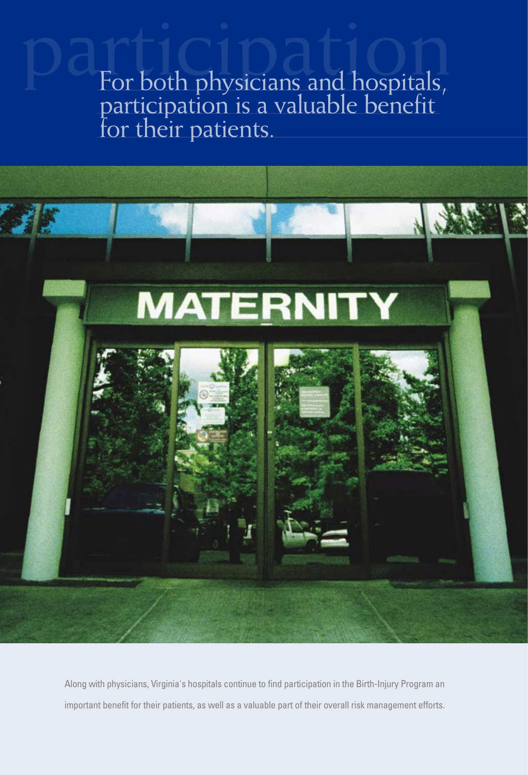participation For both physicians and hospitals, participation is a valuable benefit for their patients.



Along with physicians, Virginia's hospitals continue to find participation in the Birth-Injury Program an important benefit for their patients, as well as a valuable part of their overall risk management efforts.